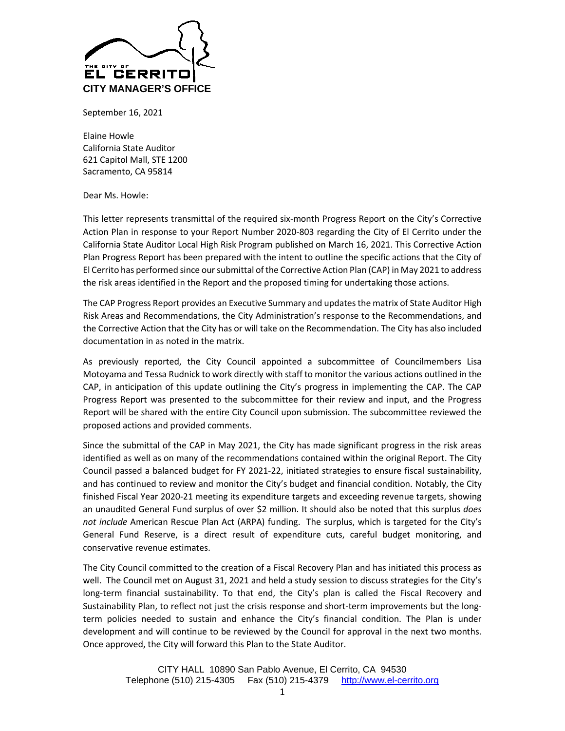

September 16, 2021

Elaine Howle California State Auditor 621 Capitol Mall, STE 1200 Sacramento, CA 95814

Dear Ms. Howle:

This letter represents transmittal of the required six-month Progress Report on the City's Corrective Action Plan in response to your Report Number 2020-803 regarding the City of El Cerrito under the California State Auditor Local High Risk Program published on March 16, 2021. This Corrective Action Plan Progress Report has been prepared with the intent to outline the specific actions that the City of El Cerrito has performed since our submittal of the Corrective Action Plan (CAP) in May 2021 to address the risk areas identified in the Report and the proposed timing for undertaking those actions.

The CAP Progress Report provides an Executive Summary and updates the matrix of State Auditor High Risk Areas and Recommendations, the City Administration's response to the Recommendations, and the Corrective Action that the City has or will take on the Recommendation. The City has also included documentation in as noted in the matrix.

As previously reported, the City Council appointed a subcommittee of Councilmembers Lisa Motoyama and Tessa Rudnick to work directly with staff to monitor the various actions outlined in the CAP, in anticipation of this update outlining the City's progress in implementing the CAP. The CAP Progress Report was presented to the subcommittee for their review and input, and the Progress Report will be shared with the entire City Council upon submission. The subcommittee reviewed the proposed actions and provided comments.

Since the submittal of the CAP in May 2021, the City has made significant progress in the risk areas identified as well as on many of the recommendations contained within the original Report. The City Council passed a balanced budget for FY 2021-22, initiated strategies to ensure fiscal sustainability, and has continued to review and monitor the City's budget and financial condition. Notably, the City finished Fiscal Year 2020-21 meeting its expenditure targets and exceeding revenue targets, showing an unaudited General Fund surplus of over \$2 million. It should also be noted that this surplus *does not include* American Rescue Plan Act (ARPA) funding. The surplus, which is targeted for the City's General Fund Reserve, is a direct result of expenditure cuts, careful budget monitoring, and conservative revenue estimates.

The City Council committed to the creation of a Fiscal Recovery Plan and has initiated this process as well. The Council met on August 31, 2021 and held a study session to discuss strategies for the City's long-term financial sustainability. To that end, the City's plan is called the Fiscal Recovery and Sustainability Plan, to reflect not just the crisis response and short-term improvements but the longterm policies needed to sustain and enhance the City's financial condition. The Plan is under development and will continue to be reviewed by the Council for approval in the next two months. Once approved, the City will forward this Plan to the State Auditor.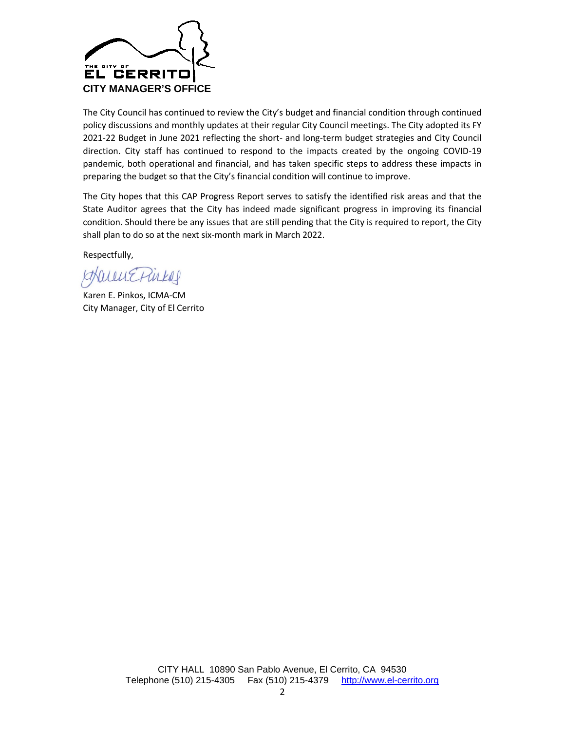

The City Council has continued to review the City's budget and financial condition through continued policy discussions and monthly updates at their regular City Council meetings. The City adopted its FY 2021-22 Budget in June 2021 reflecting the short- and long-term budget strategies and City Council direction. City staff has continued to respond to the impacts created by the ongoing COVID-19 pandemic, both operational and financial, and has taken specific steps to address these impacts in preparing the budget so that the City's financial condition will continue to improve.

The City hopes that this CAP Progress Report serves to satisfy the identified risk areas and that the State Auditor agrees that the City has indeed made significant progress in improving its financial condition. Should there be any issues that are still pending that the City is required to report, the City shall plan to do so at the next six-month mark in March 2022.

Respectfully,

WERICH

Karen E. Pinkos, ICMA-CM City Manager, City of El Cerrito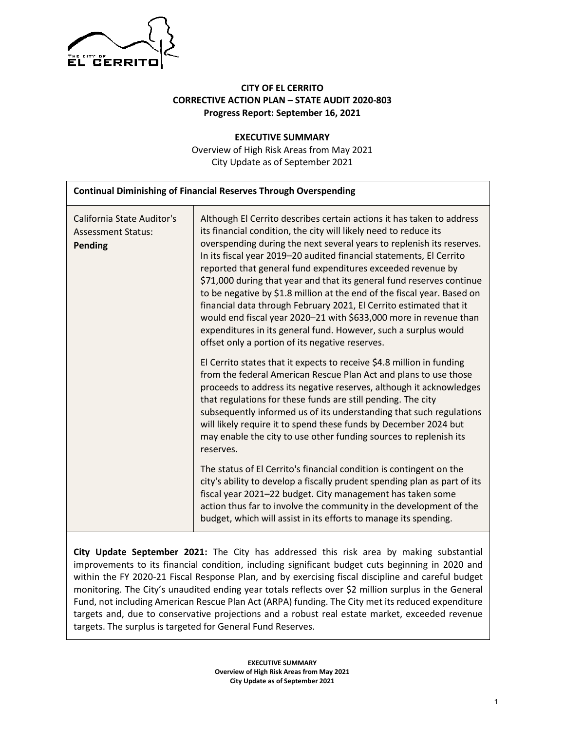

# **CITY OF EL CERRITO CORRECTIVE ACTION PLAN – STATE AUDIT 2020-803 Progress Report: September 16, 2021**

**EXECUTIVE SUMMARY** Overview of High Risk Areas from May 2021 City Update as of September 2021

| <b>Continual Diminishing of Financial Reserves Through Overspending</b> |                                                                                                                                                                                                                                                                                                                                                                                                                                                                                                                                                                                                                                                                                                                                                                               |  |  |
|-------------------------------------------------------------------------|-------------------------------------------------------------------------------------------------------------------------------------------------------------------------------------------------------------------------------------------------------------------------------------------------------------------------------------------------------------------------------------------------------------------------------------------------------------------------------------------------------------------------------------------------------------------------------------------------------------------------------------------------------------------------------------------------------------------------------------------------------------------------------|--|--|
| California State Auditor's<br><b>Assessment Status:</b><br>Pending      | Although El Cerrito describes certain actions it has taken to address<br>its financial condition, the city will likely need to reduce its<br>overspending during the next several years to replenish its reserves.<br>In its fiscal year 2019-20 audited financial statements, El Cerrito<br>reported that general fund expenditures exceeded revenue by<br>\$71,000 during that year and that its general fund reserves continue<br>to be negative by \$1.8 million at the end of the fiscal year. Based on<br>financial data through February 2021, El Cerrito estimated that it<br>would end fiscal year 2020-21 with \$633,000 more in revenue than<br>expenditures in its general fund. However, such a surplus would<br>offset only a portion of its negative reserves. |  |  |
|                                                                         | El Cerrito states that it expects to receive \$4.8 million in funding<br>from the federal American Rescue Plan Act and plans to use those<br>proceeds to address its negative reserves, although it acknowledges<br>that regulations for these funds are still pending. The city<br>subsequently informed us of its understanding that such regulations<br>will likely require it to spend these funds by December 2024 but<br>may enable the city to use other funding sources to replenish its<br>reserves.<br>The status of El Cerrito's financial condition is contingent on the<br>city's ability to develop a fiscally prudent spending plan as part of its                                                                                                             |  |  |
|                                                                         | fiscal year 2021-22 budget. City management has taken some<br>action thus far to involve the community in the development of the<br>budget, which will assist in its efforts to manage its spending.                                                                                                                                                                                                                                                                                                                                                                                                                                                                                                                                                                          |  |  |

**City Update September 2021:** The City has addressed this risk area by making substantial improvements to its financial condition, including significant budget cuts beginning in 2020 and within the FY 2020-21 Fiscal Response Plan, and by exercising fiscal discipline and careful budget monitoring. The City's unaudited ending year totals reflects over \$2 million surplus in the General Fund, not including American Rescue Plan Act (ARPA) funding. The City met its reduced expenditure targets and, due to conservative projections and a robust real estate market, exceeded revenue targets. The surplus is targeted for General Fund Reserves.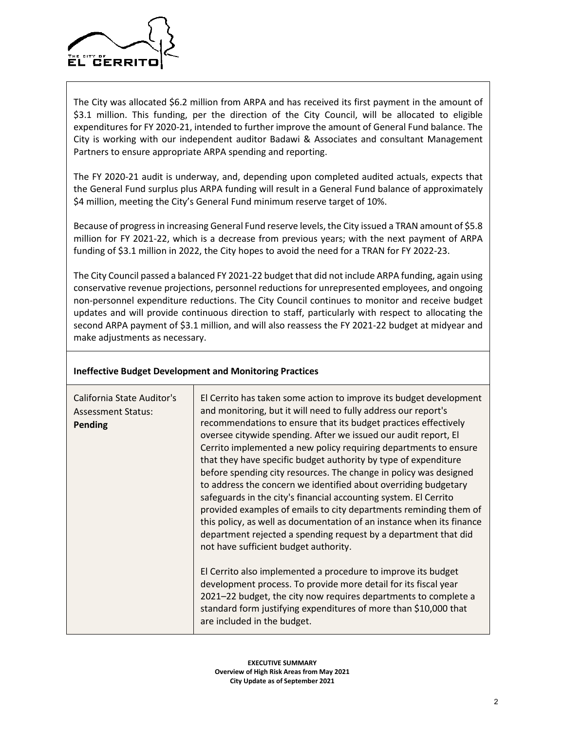

The City was allocated \$6.2 million from ARPA and has received its first payment in the amount of \$3.1 million. This funding, per the direction of the City Council, will be allocated to eligible expenditures for FY 2020-21, intended to further improve the amount of General Fund balance. The City is working with our independent auditor Badawi & Associates and consultant Management Partners to ensure appropriate ARPA spending and reporting.

The FY 2020-21 audit is underway, and, depending upon completed audited actuals, expects that the General Fund surplus plus ARPA funding will result in a General Fund balance of approximately \$4 million, meeting the City's General Fund minimum reserve target of 10%.

Because of progress in increasing General Fund reserve levels, the City issued a TRAN amount of \$5.8 million for FY 2021-22, which is a decrease from previous years; with the next payment of ARPA funding of \$3.1 million in 2022, the City hopes to avoid the need for a TRAN for FY 2022-23.

The City Council passed a balanced FY 2021-22 budget that did not include ARPA funding, again using conservative revenue projections, personnel reductions for unrepresented employees, and ongoing non-personnel expenditure reductions. The City Council continues to monitor and receive budget updates and will provide continuous direction to staff, particularly with respect to allocating the second ARPA payment of \$3.1 million, and will also reassess the FY 2021-22 budget at midyear and make adjustments as necessary.

| <b>Ineffective Budget Development and Monitoring Practices</b> |  |  |  |  |  |
|----------------------------------------------------------------|--|--|--|--|--|
|----------------------------------------------------------------|--|--|--|--|--|

| California State Auditor's<br><b>Assessment Status:</b><br><b>Pending</b> | El Cerrito has taken some action to improve its budget development<br>and monitoring, but it will need to fully address our report's<br>recommendations to ensure that its budget practices effectively<br>oversee citywide spending. After we issued our audit report, El<br>Cerrito implemented a new policy requiring departments to ensure<br>that they have specific budget authority by type of expenditure<br>before spending city resources. The change in policy was designed<br>to address the concern we identified about overriding budgetary<br>safeguards in the city's financial accounting system. El Cerrito<br>provided examples of emails to city departments reminding them of<br>this policy, as well as documentation of an instance when its finance<br>department rejected a spending request by a department that did<br>not have sufficient budget authority. |
|---------------------------------------------------------------------------|-----------------------------------------------------------------------------------------------------------------------------------------------------------------------------------------------------------------------------------------------------------------------------------------------------------------------------------------------------------------------------------------------------------------------------------------------------------------------------------------------------------------------------------------------------------------------------------------------------------------------------------------------------------------------------------------------------------------------------------------------------------------------------------------------------------------------------------------------------------------------------------------|
|                                                                           | El Cerrito also implemented a procedure to improve its budget<br>development process. To provide more detail for its fiscal year<br>2021–22 budget, the city now requires departments to complete a<br>standard form justifying expenditures of more than \$10,000 that<br>are included in the budget.                                                                                                                                                                                                                                                                                                                                                                                                                                                                                                                                                                                  |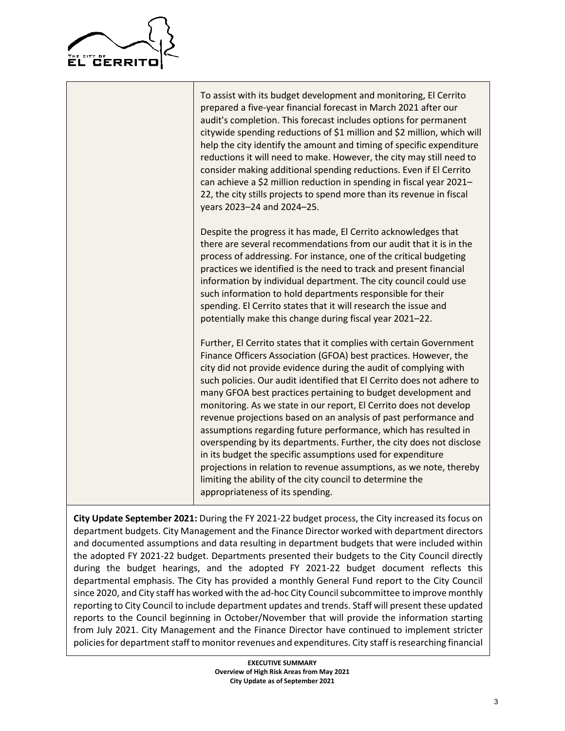

To assist with its budget development and monitoring, El Cerrito prepared a five-year financial forecast in March 2021 after our audit's completion. This forecast includes options for permanent citywide spending reductions of \$1 million and \$2 million, which will help the city identify the amount and timing of specific expenditure reductions it will need to make. However, the city may still need to consider making additional spending reductions. Even if El Cerrito can achieve a \$2 million reduction in spending in fiscal year 2021– 22, the city stills projects to spend more than its revenue in fiscal years 2023–24 and 2024–25. Despite the progress it has made, El Cerrito acknowledges that there are several recommendations from our audit that it is in the process of addressing. For instance, one of the critical budgeting practices we identified is the need to track and present financial information by individual department. The city council could use such information to hold departments responsible for their spending. El Cerrito states that it will research the issue and potentially make this change during fiscal year 2021–22. Further, El Cerrito states that it complies with certain Government Finance Officers Association (GFOA) best practices. However, the city did not provide evidence during the audit of complying with such policies. Our audit identified that El Cerrito does not adhere to many GFOA best practices pertaining to budget development and monitoring. As we state in our report, El Cerrito does not develop revenue projections based on an analysis of past performance and assumptions regarding future performance, which has resulted in overspending by its departments. Further, the city does not disclose in its budget the specific assumptions used for expenditure projections in relation to revenue assumptions, as we note, thereby limiting the ability of the city council to determine the appropriateness of its spending.

**City Update September 2021:** During the FY 2021-22 budget process, the City increased its focus on department budgets. City Management and the Finance Director worked with department directors and documented assumptions and data resulting in department budgets that were included within the adopted FY 2021-22 budget. Departments presented their budgets to the City Council directly during the budget hearings, and the adopted FY 2021-22 budget document reflects this departmental emphasis. The City has provided a monthly General Fund report to the City Council since 2020, and City staff has worked with the ad-hoc City Council subcommittee to improve monthly reporting to City Council to include department updates and trends. Staff will present these updated reports to the Council beginning in October/November that will provide the information starting from July 2021. City Management and the Finance Director have continued to implement stricter policies for department staff to monitor revenues and expenditures. City staff is researching financial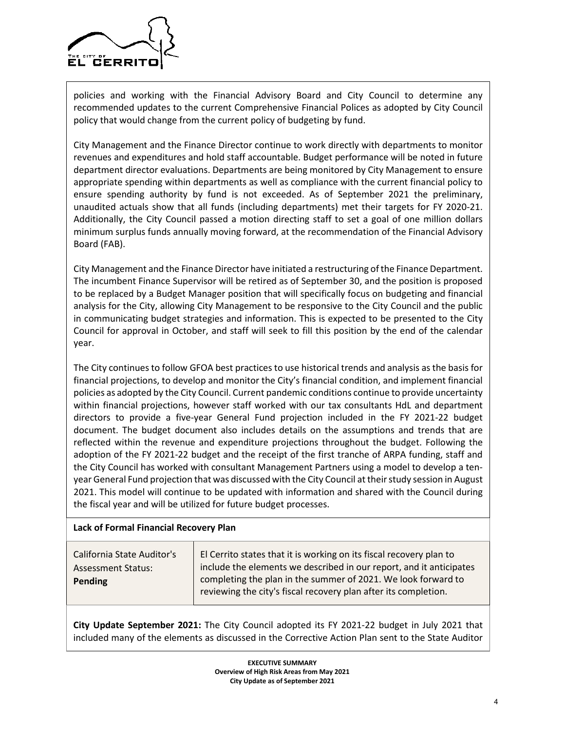

policies and working with the Financial Advisory Board and City Council to determine any recommended updates to the current Comprehensive Financial Polices as adopted by City Council policy that would change from the current policy of budgeting by fund.

City Management and the Finance Director continue to work directly with departments to monitor revenues and expenditures and hold staff accountable. Budget performance will be noted in future department director evaluations. Departments are being monitored by City Management to ensure appropriate spending within departments as well as compliance with the current financial policy to ensure spending authority by fund is not exceeded. As of September 2021 the preliminary, unaudited actuals show that all funds (including departments) met their targets for FY 2020-21. Additionally, the City Council passed a motion directing staff to set a goal of one million dollars minimum surplus funds annually moving forward, at the recommendation of the Financial Advisory Board (FAB).

City Management and the Finance Director have initiated a restructuring of the Finance Department. The incumbent Finance Supervisor will be retired as of September 30, and the position is proposed to be replaced by a Budget Manager position that will specifically focus on budgeting and financial analysis for the City, allowing City Management to be responsive to the City Council and the public in communicating budget strategies and information. This is expected to be presented to the City Council for approval in October, and staff will seek to fill this position by the end of the calendar year.

The City continues to follow GFOA best practices to use historical trends and analysis as the basis for financial projections, to develop and monitor the City's financial condition, and implement financial policies as adopted by the City Council. Current pandemic conditions continue to provide uncertainty within financial projections, however staff worked with our tax consultants HdL and department directors to provide a five-year General Fund projection included in the FY 2021-22 budget document. The budget document also includes details on the assumptions and trends that are reflected within the revenue and expenditure projections throughout the budget. Following the adoption of the FY 2021-22 budget and the receipt of the first tranche of ARPA funding, staff and the City Council has worked with consultant Management Partners using a model to develop a tenyear General Fund projection that was discussed with the City Council at their study session in August 2021. This model will continue to be updated with information and shared with the Council during the fiscal year and will be utilized for future budget processes.

### **Lack of Formal Financial Recovery Plan**

| California State Auditor's | El Cerrito states that it is working on its fiscal recovery plan to                                                              |
|----------------------------|----------------------------------------------------------------------------------------------------------------------------------|
| <b>Assessment Status:</b>  | include the elements we described in our report, and it anticipates                                                              |
| Pending                    | completing the plan in the summer of 2021. We look forward to<br>reviewing the city's fiscal recovery plan after its completion. |

**City Update September 2021:** The City Council adopted its FY 2021-22 budget in July 2021 that included many of the elements as discussed in the Corrective Action Plan sent to the State Auditor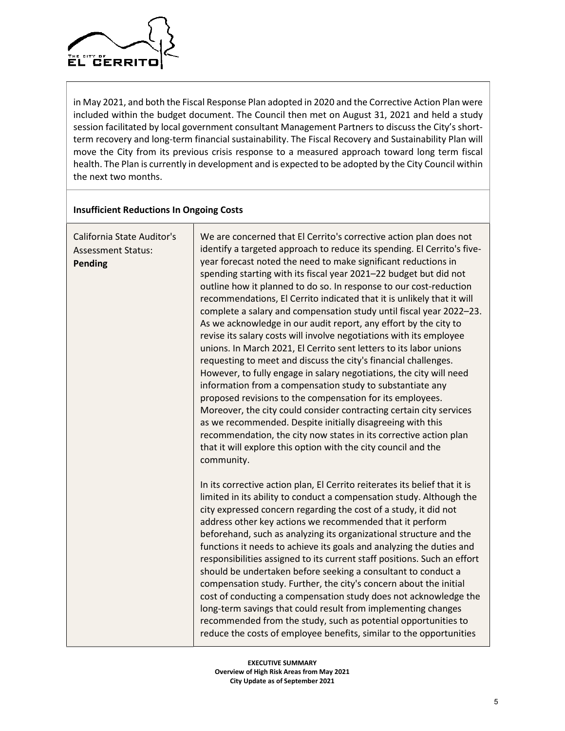

in May 2021, and both the Fiscal Response Plan adopted in 2020 and the Corrective Action Plan were included within the budget document. The Council then met on August 31, 2021 and held a study session facilitated by local government consultant Management Partners to discuss the City's shortterm recovery and long-term financial sustainability. The Fiscal Recovery and Sustainability Plan will move the City from its previous crisis response to a measured approach toward long term fiscal health. The Plan is currently in development and is expected to be adopted by the City Council within the next two months.

### **Insufficient Reductions In Ongoing Costs**

| California State Auditor's<br><b>Assessment Status:</b><br><b>Pending</b> | We are concerned that El Cerrito's corrective action plan does not<br>identify a targeted approach to reduce its spending. El Cerrito's five-<br>year forecast noted the need to make significant reductions in<br>spending starting with its fiscal year 2021-22 budget but did not<br>outline how it planned to do so. In response to our cost-reduction<br>recommendations, El Cerrito indicated that it is unlikely that it will<br>complete a salary and compensation study until fiscal year 2022-23.<br>As we acknowledge in our audit report, any effort by the city to<br>revise its salary costs will involve negotiations with its employee<br>unions. In March 2021, El Cerrito sent letters to its labor unions<br>requesting to meet and discuss the city's financial challenges.<br>However, to fully engage in salary negotiations, the city will need<br>information from a compensation study to substantiate any<br>proposed revisions to the compensation for its employees.<br>Moreover, the city could consider contracting certain city services<br>as we recommended. Despite initially disagreeing with this<br>recommendation, the city now states in its corrective action plan<br>that it will explore this option with the city council and the<br>community. |
|---------------------------------------------------------------------------|--------------------------------------------------------------------------------------------------------------------------------------------------------------------------------------------------------------------------------------------------------------------------------------------------------------------------------------------------------------------------------------------------------------------------------------------------------------------------------------------------------------------------------------------------------------------------------------------------------------------------------------------------------------------------------------------------------------------------------------------------------------------------------------------------------------------------------------------------------------------------------------------------------------------------------------------------------------------------------------------------------------------------------------------------------------------------------------------------------------------------------------------------------------------------------------------------------------------------------------------------------------------------------------------|
|                                                                           | In its corrective action plan, El Cerrito reiterates its belief that it is<br>limited in its ability to conduct a compensation study. Although the<br>city expressed concern regarding the cost of a study, it did not<br>address other key actions we recommended that it perform<br>beforehand, such as analyzing its organizational structure and the<br>functions it needs to achieve its goals and analyzing the duties and<br>responsibilities assigned to its current staff positions. Such an effort<br>should be undertaken before seeking a consultant to conduct a<br>compensation study. Further, the city's concern about the initial<br>cost of conducting a compensation study does not acknowledge the<br>long-term savings that could result from implementing changes<br>recommended from the study, such as potential opportunities to<br>reduce the costs of employee benefits, similar to the opportunities                                                                                                                                                                                                                                                                                                                                                           |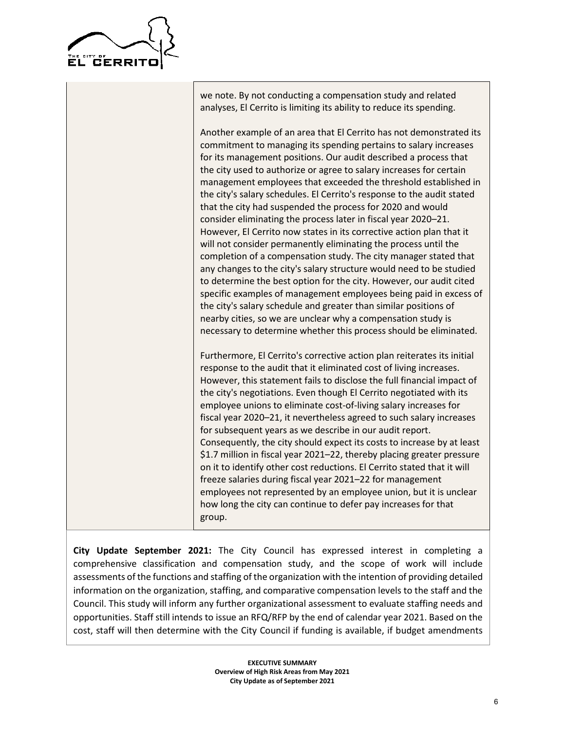

we note. By not conducting a compensation study and related analyses, El Cerrito is limiting its ability to reduce its spending.

Another example of an area that El Cerrito has not demonstrated its commitment to managing its spending pertains to salary increases for its management positions. Our audit described a process that the city used to authorize or agree to salary increases for certain management employees that exceeded the threshold established in the city's salary schedules. El Cerrito's response to the audit stated that the city had suspended the process for 2020 and would consider eliminating the process later in fiscal year 2020–21. However, El Cerrito now states in its corrective action plan that it will not consider permanently eliminating the process until the completion of a compensation study. The city manager stated that any changes to the city's salary structure would need to be studied to determine the best option for the city. However, our audit cited specific examples of management employees being paid in excess of the city's salary schedule and greater than similar positions of nearby cities, so we are unclear why a compensation study is necessary to determine whether this process should be eliminated.

Furthermore, El Cerrito's corrective action plan reiterates its initial response to the audit that it eliminated cost of living increases. However, this statement fails to disclose the full financial impact of the city's negotiations. Even though El Cerrito negotiated with its employee unions to eliminate cost-of-living salary increases for fiscal year 2020–21, it nevertheless agreed to such salary increases for subsequent years as we describe in our audit report. Consequently, the city should expect its costs to increase by at least \$1.7 million in fiscal year 2021–22, thereby placing greater pressure on it to identify other cost reductions. El Cerrito stated that it will freeze salaries during fiscal year 2021–22 for management employees not represented by an employee union, but it is unclear how long the city can continue to defer pay increases for that group.

**City Update September 2021:** The City Council has expressed interest in completing a comprehensive classification and compensation study, and the scope of work will include assessments of the functions and staffing of the organization with the intention of providing detailed information on the organization, staffing, and comparative compensation levels to the staff and the Council. This study will inform any further organizational assessment to evaluate staffing needs and opportunities. Staff still intends to issue an RFQ/RFP by the end of calendar year 2021. Based on the cost, staff will then determine with the City Council if funding is available, if budget amendments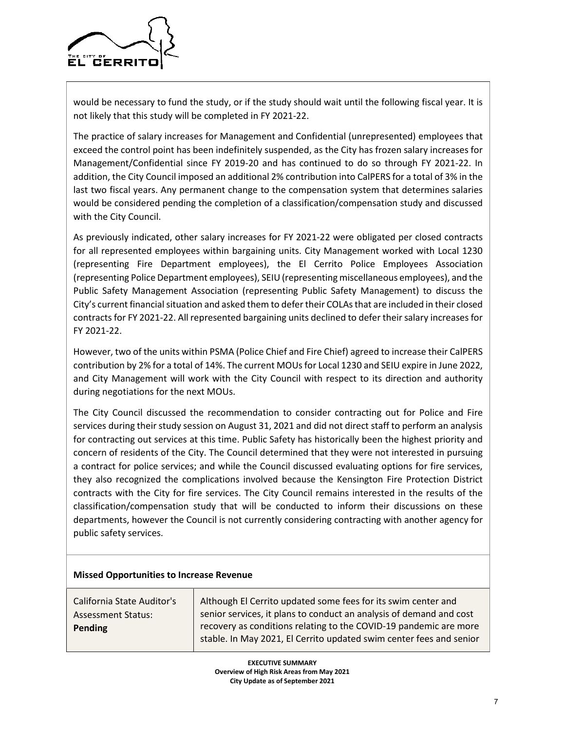

would be necessary to fund the study, or if the study should wait until the following fiscal year. It is not likely that this study will be completed in FY 2021-22.

The practice of salary increases for Management and Confidential (unrepresented) employees that exceed the control point has been indefinitely suspended, as the City has frozen salary increases for Management/Confidential since FY 2019-20 and has continued to do so through FY 2021-22. In addition, the City Council imposed an additional 2% contribution into CalPERS for a total of 3% in the last two fiscal years. Any permanent change to the compensation system that determines salaries would be considered pending the completion of a classification/compensation study and discussed with the City Council.

As previously indicated, other salary increases for FY 2021-22 were obligated per closed contracts for all represented employees within bargaining units. City Management worked with Local 1230 (representing Fire Department employees), the El Cerrito Police Employees Association (representing Police Department employees), SEIU (representing miscellaneous employees), and the Public Safety Management Association (representing Public Safety Management) to discuss the City's current financial situation and asked them to defer their COLAs that are included in their closed contracts for FY 2021-22. All represented bargaining units declined to defer their salary increases for FY 2021-22.

However, two of the units within PSMA (Police Chief and Fire Chief) agreed to increase their CalPERS contribution by 2% for a total of 14%. The current MOUs for Local 1230 and SEIU expire in June 2022, and City Management will work with the City Council with respect to its direction and authority during negotiations for the next MOUs.

The City Council discussed the recommendation to consider contracting out for Police and Fire services during their study session on August 31, 2021 and did not direct staff to perform an analysis for contracting out services at this time. Public Safety has historically been the highest priority and concern of residents of the City. The Council determined that they were not interested in pursuing a contract for police services; and while the Council discussed evaluating options for fire services, they also recognized the complications involved because the Kensington Fire Protection District contracts with the City for fire services. The City Council remains interested in the results of the classification/compensation study that will be conducted to inform their discussions on these departments, however the Council is not currently considering contracting with another agency for public safety services.

### **Missed Opportunities to Increase Revenue**

California State Auditor's Assessment Status: **Pending**

Although El Cerrito updated some fees for its swim center and senior services, it plans to conduct an analysis of demand and cost recovery as conditions relating to the COVID-19 pandemic are more stable. In May 2021, El Cerrito updated swim center fees and senior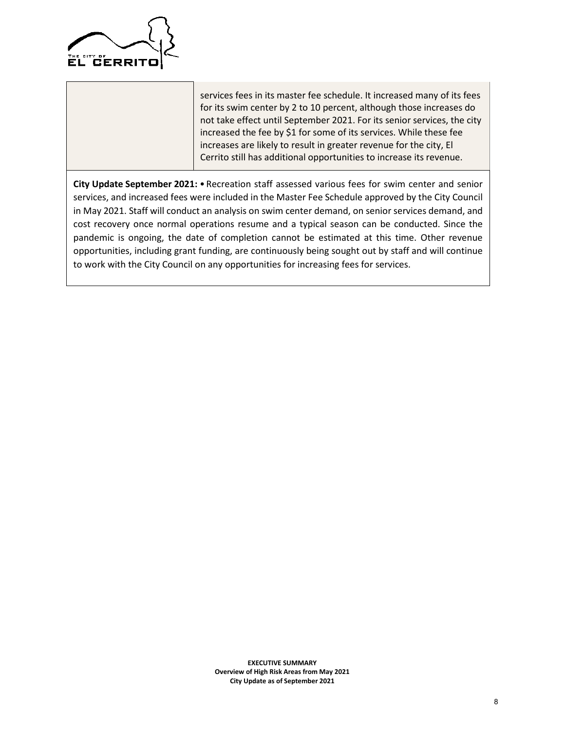

services fees in its master fee schedule. It increased many of its fees for its swim center by 2 to 10 percent, although those increases do not take effect until September 2021. For its senior services, the city increased the fee by \$1 for some of its services. While these fee increases are likely to result in greater revenue for the city, El Cerrito still has additional opportunities to increase its revenue.

City Update September 2021: • Recreation staff assessed various fees for swim center and senior services, and increased fees were included in the Master Fee Schedule approved by the City Council in May 2021. Staff will conduct an analysis on swim center demand, on senior services demand, and cost recovery once normal operations resume and a typical season can be conducted. Since the pandemic is ongoing, the date of completion cannot be estimated at this time. Other revenue opportunities, including grant funding, are continuously being sought out by staff and will continue to work with the City Council on any opportunities for increasing fees for services.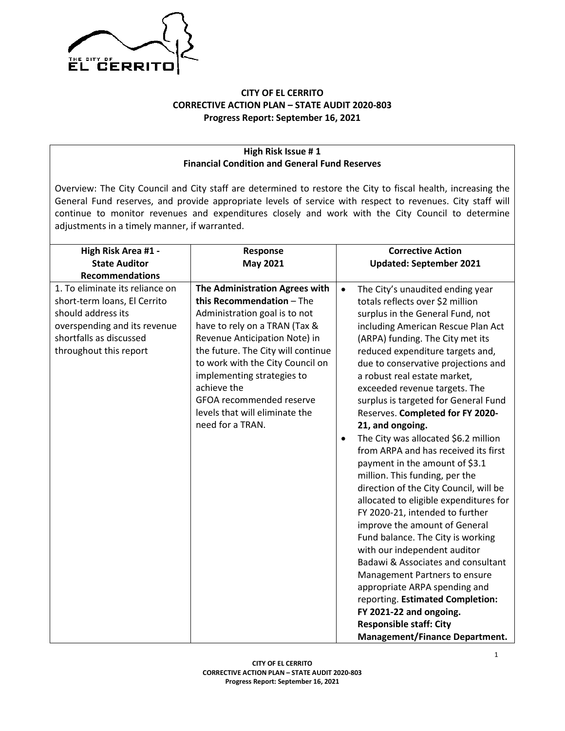

# **CITY OF EL CERRITO CORRECTIVE ACTION PLAN – STATE AUDIT 2020-803 Progress Report: September 16, 2021**

### **High Risk Issue # 1 Financial Condition and General Fund Reserves**

Overview: The City Council and City staff are determined to restore the City to fiscal health, increasing the General Fund reserves, and provide appropriate levels of service with respect to revenues. City staff will continue to monitor revenues and expenditures closely and work with the City Council to determine adjustments in a timely manner, if warranted.

| High Risk Area #1 -             | Response                           |           | <b>Corrective Action</b>               |
|---------------------------------|------------------------------------|-----------|----------------------------------------|
| <b>State Auditor</b>            | <b>May 2021</b>                    |           | <b>Updated: September 2021</b>         |
| <b>Recommendations</b>          |                                    |           |                                        |
| 1. To eliminate its reliance on | The Administration Agrees with     | $\bullet$ | The City's unaudited ending year       |
| short-term loans, El Cerrito    | this Recommendation - The          |           | totals reflects over \$2 million       |
| should address its              | Administration goal is to not      |           | surplus in the General Fund, not       |
| overspending and its revenue    | have to rely on a TRAN (Tax &      |           | including American Rescue Plan Act     |
| shortfalls as discussed         | Revenue Anticipation Note) in      |           | (ARPA) funding. The City met its       |
| throughout this report          | the future. The City will continue |           | reduced expenditure targets and,       |
|                                 | to work with the City Council on   |           | due to conservative projections and    |
|                                 | implementing strategies to         |           | a robust real estate market,           |
|                                 | achieve the                        |           | exceeded revenue targets. The          |
|                                 | GFOA recommended reserve           |           | surplus is targeted for General Fund   |
|                                 | levels that will eliminate the     |           | Reserves. Completed for FY 2020-       |
|                                 | need for a TRAN.                   |           | 21, and ongoing.                       |
|                                 |                                    | $\bullet$ | The City was allocated \$6.2 million   |
|                                 |                                    |           | from ARPA and has received its first   |
|                                 |                                    |           | payment in the amount of \$3.1         |
|                                 |                                    |           | million. This funding, per the         |
|                                 |                                    |           | direction of the City Council, will be |
|                                 |                                    |           | allocated to eligible expenditures for |
|                                 |                                    |           | FY 2020-21, intended to further        |
|                                 |                                    |           | improve the amount of General          |
|                                 |                                    |           | Fund balance. The City is working      |
|                                 |                                    |           | with our independent auditor           |
|                                 |                                    |           | Badawi & Associates and consultant     |
|                                 |                                    |           | Management Partners to ensure          |
|                                 |                                    |           | appropriate ARPA spending and          |
|                                 |                                    |           | reporting. Estimated Completion:       |
|                                 |                                    |           | FY 2021-22 and ongoing.                |
|                                 |                                    |           | <b>Responsible staff: City</b>         |
|                                 |                                    |           | <b>Management/Finance Department.</b>  |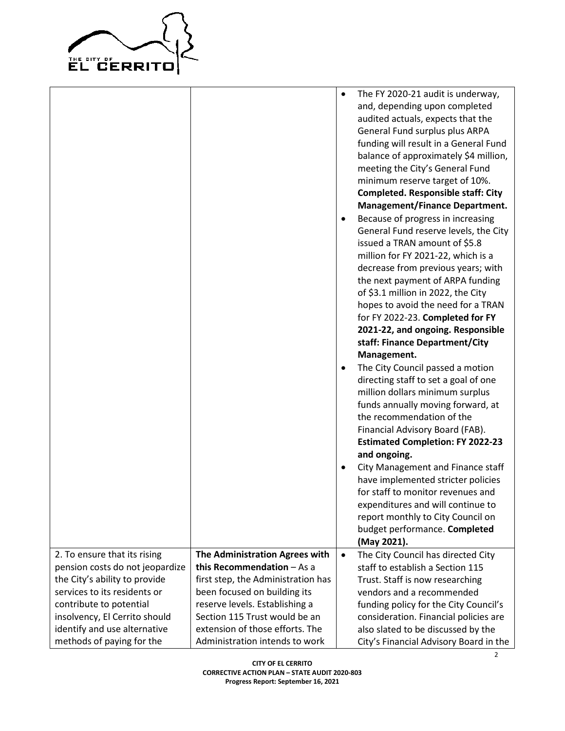

|                                                                                                                                                                                                                                                           |                                                                                                                                                                                                                                                                              | ٠                      | The FY 2020-21 audit is underway,<br>and, depending upon completed<br>audited actuals, expects that the<br>General Fund surplus plus ARPA<br>funding will result in a General Fund<br>balance of approximately \$4 million,<br>meeting the City's General Fund<br>minimum reserve target of 10%.<br><b>Completed. Responsible staff: City</b><br><b>Management/Finance Department.</b>                                                                                                                                               |
|-----------------------------------------------------------------------------------------------------------------------------------------------------------------------------------------------------------------------------------------------------------|------------------------------------------------------------------------------------------------------------------------------------------------------------------------------------------------------------------------------------------------------------------------------|------------------------|--------------------------------------------------------------------------------------------------------------------------------------------------------------------------------------------------------------------------------------------------------------------------------------------------------------------------------------------------------------------------------------------------------------------------------------------------------------------------------------------------------------------------------------|
|                                                                                                                                                                                                                                                           |                                                                                                                                                                                                                                                                              | $\bullet$              | Because of progress in increasing<br>General Fund reserve levels, the City<br>issued a TRAN amount of \$5.8<br>million for FY 2021-22, which is a<br>decrease from previous years; with<br>the next payment of ARPA funding<br>of \$3.1 million in 2022, the City<br>hopes to avoid the need for a TRAN<br>for FY 2022-23. Completed for FY<br>2021-22, and ongoing. Responsible<br>staff: Finance Department/City                                                                                                                   |
|                                                                                                                                                                                                                                                           |                                                                                                                                                                                                                                                                              | $\bullet$<br>$\bullet$ | Management.<br>The City Council passed a motion<br>directing staff to set a goal of one<br>million dollars minimum surplus<br>funds annually moving forward, at<br>the recommendation of the<br>Financial Advisory Board (FAB).<br><b>Estimated Completion: FY 2022-23</b><br>and ongoing.<br>City Management and Finance staff<br>have implemented stricter policies<br>for staff to monitor revenues and<br>expenditures and will continue to<br>report monthly to City Council on<br>budget performance. Completed<br>(May 2021). |
| 2. To ensure that its rising<br>pension costs do not jeopardize<br>the City's ability to provide<br>services to its residents or<br>contribute to potential<br>insolvency, El Cerrito should<br>identify and use alternative<br>methods of paying for the | The Administration Agrees with<br>this Recommendation $-$ As a<br>first step, the Administration has<br>been focused on building its<br>reserve levels. Establishing a<br>Section 115 Trust would be an<br>extension of those efforts. The<br>Administration intends to work | $\bullet$              | The City Council has directed City<br>staff to establish a Section 115<br>Trust. Staff is now researching<br>vendors and a recommended<br>funding policy for the City Council's<br>consideration. Financial policies are<br>also slated to be discussed by the<br>City's Financial Advisory Board in the                                                                                                                                                                                                                             |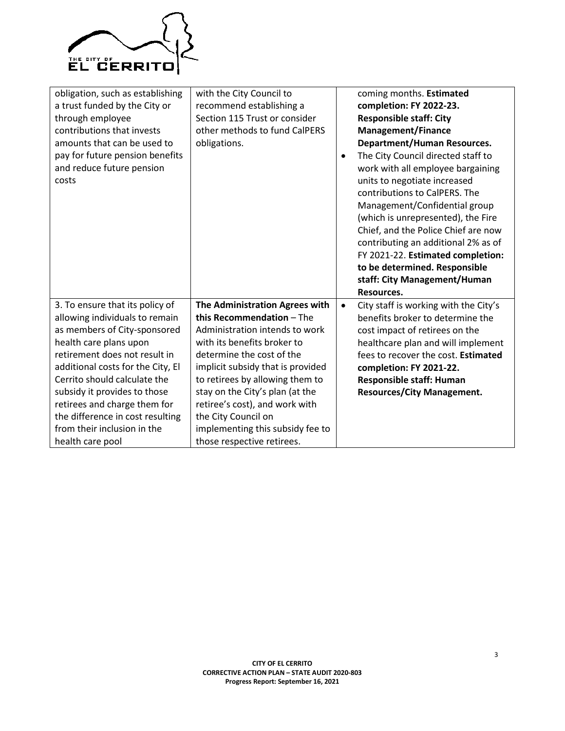

| obligation, such as establishing<br>a trust funded by the City or<br>through employee<br>contributions that invests<br>amounts that can be used to<br>pay for future pension benefits<br>and reduce future pension<br>costs                                                                                                                                                              | with the City Council to<br>recommend establishing a<br>Section 115 Trust or consider<br>other methods to fund CalPERS<br>obligations.                                                                                                                                                                                                                                                          | $\bullet$ | coming months. Estimated<br>completion: FY 2022-23.<br><b>Responsible staff: City</b><br><b>Management/Finance</b><br><b>Department/Human Resources.</b><br>The City Council directed staff to<br>work with all employee bargaining<br>units to negotiate increased<br>contributions to CalPERS. The<br>Management/Confidential group<br>(which is unrepresented), the Fire<br>Chief, and the Police Chief are now<br>contributing an additional 2% as of<br>FY 2021-22. Estimated completion:<br>to be determined. Responsible |
|------------------------------------------------------------------------------------------------------------------------------------------------------------------------------------------------------------------------------------------------------------------------------------------------------------------------------------------------------------------------------------------|-------------------------------------------------------------------------------------------------------------------------------------------------------------------------------------------------------------------------------------------------------------------------------------------------------------------------------------------------------------------------------------------------|-----------|---------------------------------------------------------------------------------------------------------------------------------------------------------------------------------------------------------------------------------------------------------------------------------------------------------------------------------------------------------------------------------------------------------------------------------------------------------------------------------------------------------------------------------|
|                                                                                                                                                                                                                                                                                                                                                                                          |                                                                                                                                                                                                                                                                                                                                                                                                 |           | staff: City Management/Human<br>Resources.                                                                                                                                                                                                                                                                                                                                                                                                                                                                                      |
| 3. To ensure that its policy of<br>allowing individuals to remain<br>as members of City-sponsored<br>health care plans upon<br>retirement does not result in<br>additional costs for the City, El<br>Cerrito should calculate the<br>subsidy it provides to those<br>retirees and charge them for<br>the difference in cost resulting<br>from their inclusion in the<br>health care pool | The Administration Agrees with<br>this Recommendation - The<br>Administration intends to work<br>with its benefits broker to<br>determine the cost of the<br>implicit subsidy that is provided<br>to retirees by allowing them to<br>stay on the City's plan (at the<br>retiree's cost), and work with<br>the City Council on<br>implementing this subsidy fee to<br>those respective retirees. | $\bullet$ | City staff is working with the City's<br>benefits broker to determine the<br>cost impact of retirees on the<br>healthcare plan and will implement<br>fees to recover the cost. Estimated<br>completion: FY 2021-22.<br><b>Responsible staff: Human</b><br><b>Resources/City Management.</b>                                                                                                                                                                                                                                     |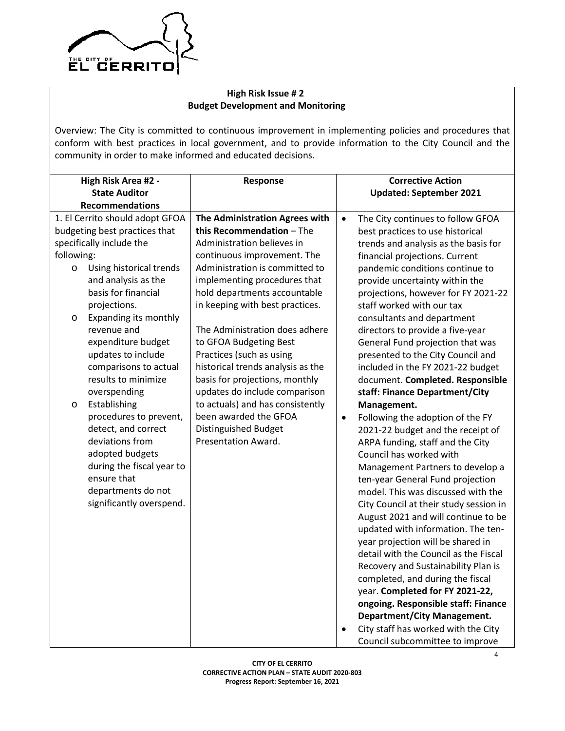

# **High Risk Issue # 2 Budget Development and Monitoring**

Overview: The City is committed to continuous improvement in implementing policies and procedures that conform with best practices in local government, and to provide information to the City Council and the community in order to make informed and educated decisions.

|            | High Risk Area #2 -<br><b>State Auditor</b> | Response                          |           | <b>Corrective Action</b><br><b>Updated: September 2021</b> |
|------------|---------------------------------------------|-----------------------------------|-----------|------------------------------------------------------------|
|            | <b>Recommendations</b>                      |                                   |           |                                                            |
|            | 1. El Cerrito should adopt GFOA             | The Administration Agrees with    | $\bullet$ | The City continues to follow GFOA                          |
|            | budgeting best practices that               | this Recommendation - The         |           | best practices to use historical                           |
|            | specifically include the                    | Administration believes in        |           | trends and analysis as the basis for                       |
| following: |                                             | continuous improvement. The       |           | financial projections. Current                             |
| $\circ$    | Using historical trends                     | Administration is committed to    |           | pandemic conditions continue to                            |
|            | and analysis as the                         | implementing procedures that      |           | provide uncertainty within the                             |
|            | basis for financial                         | hold departments accountable      |           | projections, however for FY 2021-22                        |
|            | projections.                                | in keeping with best practices.   |           | staff worked with our tax                                  |
| O          | Expanding its monthly                       |                                   |           | consultants and department                                 |
|            | revenue and                                 | The Administration does adhere    |           | directors to provide a five-year                           |
|            | expenditure budget                          | to GFOA Budgeting Best            |           | General Fund projection that was                           |
|            | updates to include                          | Practices (such as using          |           | presented to the City Council and                          |
|            | comparisons to actual                       | historical trends analysis as the |           | included in the FY 2021-22 budget                          |
|            | results to minimize                         | basis for projections, monthly    |           | document. Completed. Responsible                           |
|            | overspending                                | updates do include comparison     |           | staff: Finance Department/City                             |
| $\circ$    | Establishing                                | to actuals) and has consistently  |           | Management.                                                |
|            | procedures to prevent,                      | been awarded the GFOA             | $\bullet$ | Following the adoption of the FY                           |
|            | detect, and correct                         | <b>Distinguished Budget</b>       |           | 2021-22 budget and the receipt of                          |
|            | deviations from                             | Presentation Award.               |           | ARPA funding, staff and the City                           |
|            | adopted budgets                             |                                   |           | Council has worked with                                    |
|            | during the fiscal year to                   |                                   |           | Management Partners to develop a                           |
|            | ensure that                                 |                                   |           | ten-year General Fund projection                           |
|            | departments do not                          |                                   |           | model. This was discussed with the                         |
|            | significantly overspend.                    |                                   |           | City Council at their study session in                     |
|            |                                             |                                   |           | August 2021 and will continue to be                        |
|            |                                             |                                   |           | updated with information. The ten-                         |
|            |                                             |                                   |           | year projection will be shared in                          |
|            |                                             |                                   |           | detail with the Council as the Fiscal                      |
|            |                                             |                                   |           | Recovery and Sustainability Plan is                        |
|            |                                             |                                   |           | completed, and during the fiscal                           |
|            |                                             |                                   |           | year. Completed for FY 2021-22,                            |
|            |                                             |                                   |           | ongoing. Responsible staff: Finance                        |
|            |                                             |                                   |           | <b>Department/City Management.</b>                         |
|            |                                             |                                   |           | City staff has worked with the City                        |
|            |                                             |                                   |           | Council subcommittee to improve                            |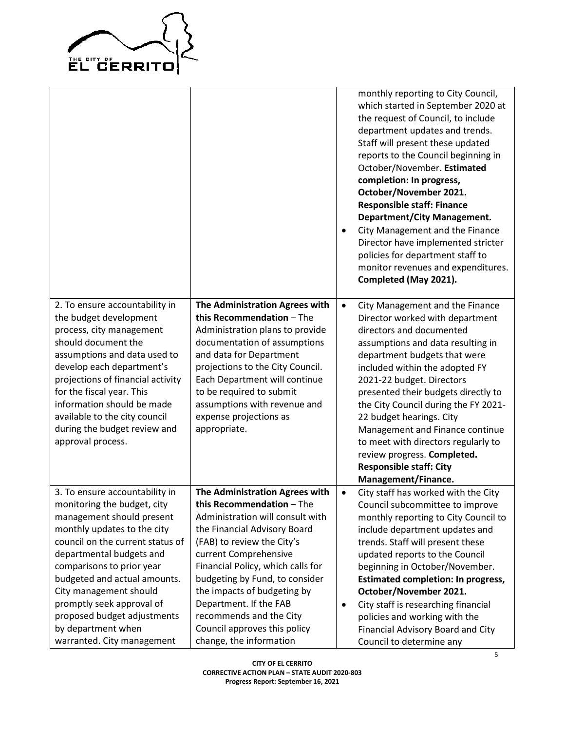

| <b>Department/City Management.</b><br>City Management and the Finance<br>٠<br>Director have implemented stricter<br>policies for department staff to<br>monitor revenues and expenditures.<br>Completed (May 2021).                                                                                                                                                                                                                                                                                                                                                                                                                                                                                                                                                                                                                                         |
|-------------------------------------------------------------------------------------------------------------------------------------------------------------------------------------------------------------------------------------------------------------------------------------------------------------------------------------------------------------------------------------------------------------------------------------------------------------------------------------------------------------------------------------------------------------------------------------------------------------------------------------------------------------------------------------------------------------------------------------------------------------------------------------------------------------------------------------------------------------|
| The Administration Agrees with<br>City Management and the Finance<br>$\bullet$<br>this Recommendation - The<br>Director worked with department<br>Administration plans to provide<br>directors and documented<br>documentation of assumptions<br>assumptions and data resulting in<br>and data for Department<br>department budgets that were<br>projections to the City Council.<br>included within the adopted FY<br>Each Department will continue<br>2021-22 budget. Directors<br>to be required to submit<br>presented their budgets directly to<br>assumptions with revenue and<br>the City Council during the FY 2021-<br>expense projections as<br>22 budget hearings. City<br>Management and Finance continue<br>to meet with directors regularly to<br>review progress. Completed.<br><b>Responsible staff: City</b><br>Management/Finance.        |
| The Administration Agrees with<br>City staff has worked with the City<br>$\bullet$<br>this Recommendation - The<br>Council subcommittee to improve<br>Administration will consult with<br>monthly reporting to City Council to<br>the Financial Advisory Board<br>include department updates and<br>(FAB) to review the City's<br>trends. Staff will present these<br>current Comprehensive<br>updated reports to the Council<br>Financial Policy, which calls for<br>beginning in October/November.<br>budgeting by Fund, to consider<br><b>Estimated completion: In progress,</b><br>the impacts of budgeting by<br>October/November 2021.<br>Department. If the FAB<br>City staff is researching financial<br>$\bullet$<br>recommends and the City<br>policies and working with the<br>Council approves this policy<br>Financial Advisory Board and City |
| change, the information                                                                                                                                                                                                                                                                                                                                                                                                                                                                                                                                                                                                                                                                                                                                                                                                                                     |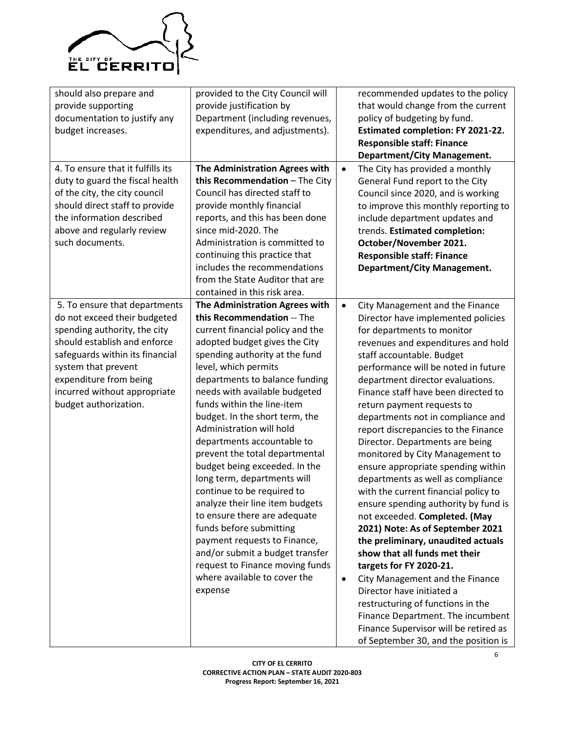

| should also prepare and           | provided to the City Council will |           | recommended updates to the policy        |
|-----------------------------------|-----------------------------------|-----------|------------------------------------------|
| provide supporting                | provide justification by          |           | that would change from the current       |
| documentation to justify any      | Department (including revenues,   |           | policy of budgeting by fund.             |
| budget increases.                 | expenditures, and adjustments).   |           | <b>Estimated completion: FY 2021-22.</b> |
|                                   |                                   |           | <b>Responsible staff: Finance</b>        |
|                                   |                                   |           | <b>Department/City Management.</b>       |
| 4. To ensure that it fulfills its | The Administration Agrees with    | $\bullet$ | The City has provided a monthly          |
| duty to guard the fiscal health   | this Recommendation - The City    |           | General Fund report to the City          |
| of the city, the city council     | Council has directed staff to     |           | Council since 2020, and is working       |
| should direct staff to provide    | provide monthly financial         |           | to improve this monthly reporting to     |
| the information described         | reports, and this has been done   |           | include department updates and           |
| above and regularly review        | since mid-2020. The               |           | trends. Estimated completion:            |
| such documents.                   | Administration is committed to    |           | October/November 2021.                   |
|                                   | continuing this practice that     |           | <b>Responsible staff: Finance</b>        |
|                                   | includes the recommendations      |           | <b>Department/City Management.</b>       |
|                                   | from the State Auditor that are   |           |                                          |
|                                   | contained in this risk area.      |           |                                          |
| 5. To ensure that departments     | The Administration Agrees with    | $\bullet$ | City Management and the Finance          |
| do not exceed their budgeted      | this Recommendation -- The        |           | Director have implemented policies       |
| spending authority, the city      | current financial policy and the  |           | for departments to monitor               |
| should establish and enforce      | adopted budget gives the City     |           | revenues and expenditures and hold       |
| safeguards within its financial   | spending authority at the fund    |           | staff accountable. Budget                |
| system that prevent               | level, which permits              |           | performance will be noted in future      |
| expenditure from being            | departments to balance funding    |           | department director evaluations.         |
| incurred without appropriate      | needs with available budgeted     |           | Finance staff have been directed to      |
| budget authorization.             | funds within the line-item        |           | return payment requests to               |
|                                   | budget. In the short term, the    |           | departments not in compliance and        |
|                                   | Administration will hold          |           | report discrepancies to the Finance      |
|                                   | departments accountable to        |           | Director. Departments are being          |
|                                   | prevent the total departmental    |           | monitored by City Management to          |
|                                   | budget being exceeded. In the     |           | ensure appropriate spending within       |
|                                   | long term, departments will       |           | departments as well as compliance        |
|                                   | continue to be required to        |           | with the current financial policy to     |
|                                   | analyze their line item budgets   |           | ensure spending authority by fund is     |
|                                   | to ensure there are adequate      |           | not exceeded. Completed. (May            |
|                                   | funds before submitting           |           | 2021) Note: As of September 2021         |
|                                   | payment requests to Finance,      |           | the preliminary, unaudited actuals       |
|                                   | and/or submit a budget transfer   |           | show that all funds met their            |
|                                   | request to Finance moving funds   |           | targets for FY 2020-21.                  |
|                                   | where available to cover the      | $\bullet$ | City Management and the Finance          |
|                                   | expense                           |           | Director have initiated a                |
|                                   |                                   |           | restructuring of functions in the        |
|                                   |                                   |           | Finance Department. The incumbent        |
|                                   |                                   |           | Finance Supervisor will be retired as    |
|                                   |                                   |           | of September 30, and the position is     |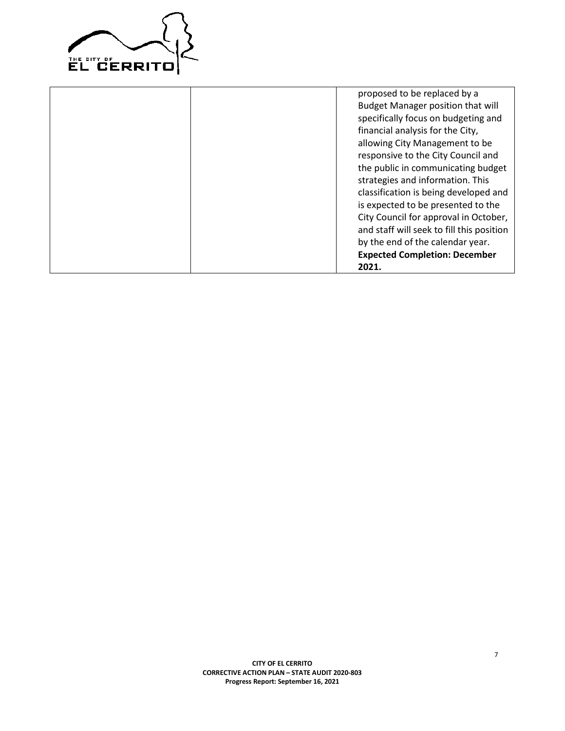

|  | proposed to be replaced by a              |
|--|-------------------------------------------|
|  | <b>Budget Manager position that will</b>  |
|  | specifically focus on budgeting and       |
|  | financial analysis for the City,          |
|  | allowing City Management to be            |
|  | responsive to the City Council and        |
|  | the public in communicating budget        |
|  | strategies and information. This          |
|  | classification is being developed and     |
|  | is expected to be presented to the        |
|  | City Council for approval in October,     |
|  | and staff will seek to fill this position |
|  | by the end of the calendar year.          |
|  | <b>Expected Completion: December</b>      |
|  | 2021.                                     |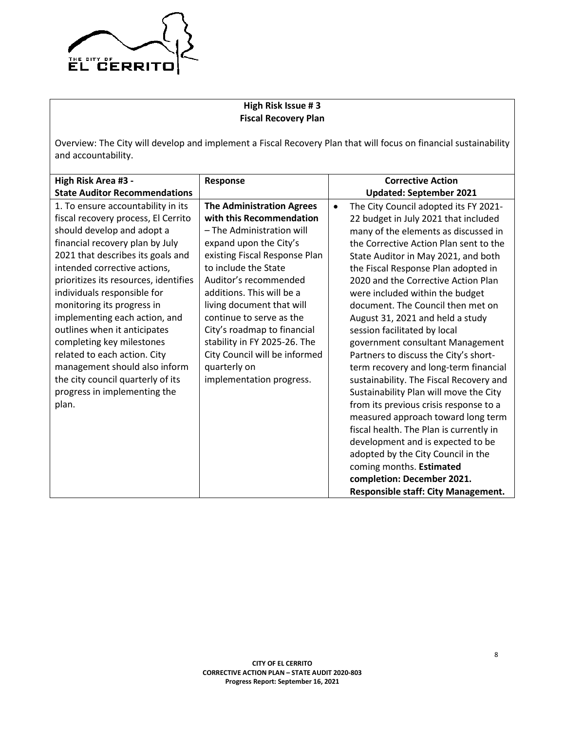

# **High Risk Issue # 3 Fiscal Recovery Plan**

Overview: The City will develop and implement a Fiscal Recovery Plan that will focus on financial sustainability and accountability.

| High Risk Area #3 -                                                                                                                                                                                                                                                                                                                                                                                                                                                                                                                                                | Response                                                                                                                                                                                                                                                                                                                                                                                                                                |           | <b>Corrective Action</b>                                                                                                                                                                                                                                                                                                                                                                                                                                                                                                                                                                                                                                                                                                                                                                                                                                                      |
|--------------------------------------------------------------------------------------------------------------------------------------------------------------------------------------------------------------------------------------------------------------------------------------------------------------------------------------------------------------------------------------------------------------------------------------------------------------------------------------------------------------------------------------------------------------------|-----------------------------------------------------------------------------------------------------------------------------------------------------------------------------------------------------------------------------------------------------------------------------------------------------------------------------------------------------------------------------------------------------------------------------------------|-----------|-------------------------------------------------------------------------------------------------------------------------------------------------------------------------------------------------------------------------------------------------------------------------------------------------------------------------------------------------------------------------------------------------------------------------------------------------------------------------------------------------------------------------------------------------------------------------------------------------------------------------------------------------------------------------------------------------------------------------------------------------------------------------------------------------------------------------------------------------------------------------------|
| <b>State Auditor Recommendations</b>                                                                                                                                                                                                                                                                                                                                                                                                                                                                                                                               |                                                                                                                                                                                                                                                                                                                                                                                                                                         |           | <b>Updated: September 2021</b>                                                                                                                                                                                                                                                                                                                                                                                                                                                                                                                                                                                                                                                                                                                                                                                                                                                |
| 1. To ensure accountability in its<br>fiscal recovery process, El Cerrito<br>should develop and adopt a<br>financial recovery plan by July<br>2021 that describes its goals and<br>intended corrective actions,<br>prioritizes its resources, identifies<br>individuals responsible for<br>monitoring its progress in<br>implementing each action, and<br>outlines when it anticipates<br>completing key milestones<br>related to each action. City<br>management should also inform<br>the city council quarterly of its<br>progress in implementing the<br>plan. | <b>The Administration Agrees</b><br>with this Recommendation<br>- The Administration will<br>expand upon the City's<br>existing Fiscal Response Plan<br>to include the State<br>Auditor's recommended<br>additions. This will be a<br>living document that will<br>continue to serve as the<br>City's roadmap to financial<br>stability in FY 2025-26. The<br>City Council will be informed<br>quarterly on<br>implementation progress. | $\bullet$ | The City Council adopted its FY 2021-<br>22 budget in July 2021 that included<br>many of the elements as discussed in<br>the Corrective Action Plan sent to the<br>State Auditor in May 2021, and both<br>the Fiscal Response Plan adopted in<br>2020 and the Corrective Action Plan<br>were included within the budget<br>document. The Council then met on<br>August 31, 2021 and held a study<br>session facilitated by local<br>government consultant Management<br>Partners to discuss the City's short-<br>term recovery and long-term financial<br>sustainability. The Fiscal Recovery and<br>Sustainability Plan will move the City<br>from its previous crisis response to a<br>measured approach toward long term<br>fiscal health. The Plan is currently in<br>development and is expected to be<br>adopted by the City Council in the<br>coming months. Estimated |
|                                                                                                                                                                                                                                                                                                                                                                                                                                                                                                                                                                    |                                                                                                                                                                                                                                                                                                                                                                                                                                         |           | completion: December 2021.<br><b>Responsible staff: City Management.</b>                                                                                                                                                                                                                                                                                                                                                                                                                                                                                                                                                                                                                                                                                                                                                                                                      |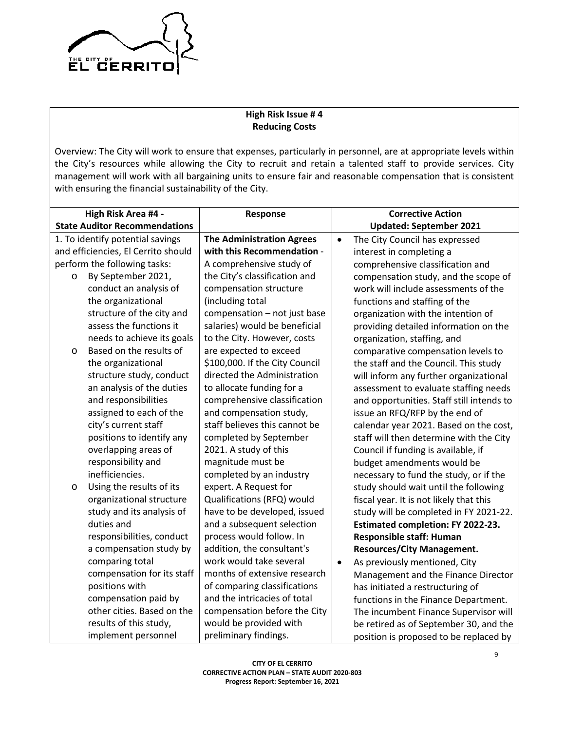

# **High Risk Issue # 4 Reducing Costs**

Overview: The City will work to ensure that expenses, particularly in personnel, are at appropriate levels within the City's resources while allowing the City to recruit and retain a talented staff to provide services. City management will work with all bargaining units to ensure fair and reasonable compensation that is consistent with ensuring the financial sustainability of the City.

| High Risk Area #4 -                  | Response                         |           | <b>Corrective Action</b>                  |
|--------------------------------------|----------------------------------|-----------|-------------------------------------------|
| <b>State Auditor Recommendations</b> |                                  |           | <b>Updated: September 2021</b>            |
| 1. To identify potential savings     | <b>The Administration Agrees</b> | $\bullet$ | The City Council has expressed            |
| and efficiencies, El Cerrito should  | with this Recommendation -       |           | interest in completing a                  |
| perform the following tasks:         | A comprehensive study of         |           | comprehensive classification and          |
| By September 2021,<br>$\circ$        | the City's classification and    |           | compensation study, and the scope of      |
| conduct an analysis of               | compensation structure           |           | work will include assessments of the      |
| the organizational                   | (including total                 |           | functions and staffing of the             |
| structure of the city and            | compensation - not just base     |           | organization with the intention of        |
| assess the functions it              | salaries) would be beneficial    |           | providing detailed information on the     |
| needs to achieve its goals           | to the City. However, costs      |           | organization, staffing, and               |
| Based on the results of<br>$\circ$   | are expected to exceed           |           | comparative compensation levels to        |
| the organizational                   | \$100,000. If the City Council   |           | the staff and the Council. This study     |
| structure study, conduct             | directed the Administration      |           | will inform any further organizational    |
| an analysis of the duties            | to allocate funding for a        |           | assessment to evaluate staffing needs     |
| and responsibilities                 | comprehensive classification     |           | and opportunities. Staff still intends to |
| assigned to each of the              | and compensation study,          |           | issue an RFQ/RFP by the end of            |
| city's current staff                 | staff believes this cannot be    |           | calendar year 2021. Based on the cost,    |
| positions to identify any            | completed by September           |           | staff will then determine with the City   |
| overlapping areas of                 | 2021. A study of this            |           | Council if funding is available, if       |
| responsibility and                   | magnitude must be                |           | budget amendments would be                |
| inefficiencies.                      | completed by an industry         |           | necessary to fund the study, or if the    |
| Using the results of its<br>$\circ$  | expert. A Request for            |           | study should wait until the following     |
| organizational structure             | Qualifications (RFQ) would       |           | fiscal year. It is not likely that this   |
| study and its analysis of            | have to be developed, issued     |           | study will be completed in FY 2021-22.    |
| duties and                           | and a subsequent selection       |           | <b>Estimated completion: FY 2022-23.</b>  |
| responsibilities, conduct            | process would follow. In         |           | <b>Responsible staff: Human</b>           |
| a compensation study by              | addition, the consultant's       |           | <b>Resources/City Management.</b>         |
| comparing total                      | work would take several          | $\bullet$ | As previously mentioned, City             |
| compensation for its staff           | months of extensive research     |           | Management and the Finance Director       |
| positions with                       | of comparing classifications     |           | has initiated a restructuring of          |
| compensation paid by                 | and the intricacies of total     |           | functions in the Finance Department.      |
| other cities. Based on the           | compensation before the City     |           | The incumbent Finance Supervisor will     |
| results of this study,               | would be provided with           |           | be retired as of September 30, and the    |
| implement personnel                  | preliminary findings.            |           | position is proposed to be replaced by    |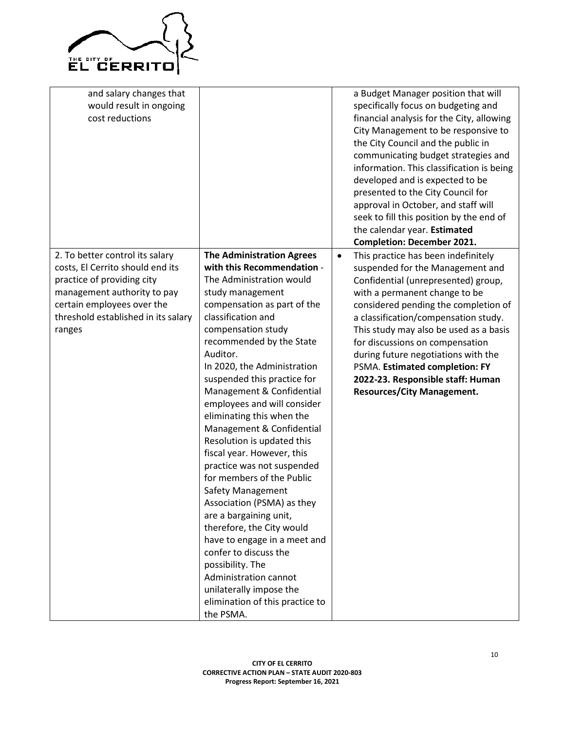

| and salary changes that<br>would result in ongoing<br>cost reductions                                                                                                                                           |                                                                                                                                                                                                                                                                                                                                                                                                                                                                                                                                                                                                                                                                                                                                                                                                                                         | a Budget Manager position that will<br>specifically focus on budgeting and<br>financial analysis for the City, allowing<br>City Management to be responsive to<br>the City Council and the public in<br>communicating budget strategies and<br>information. This classification is being<br>developed and is expected to be<br>presented to the City Council for<br>approval in October, and staff will<br>seek to fill this position by the end of<br>the calendar year. Estimated<br><b>Completion: December 2021.</b> |
|-----------------------------------------------------------------------------------------------------------------------------------------------------------------------------------------------------------------|-----------------------------------------------------------------------------------------------------------------------------------------------------------------------------------------------------------------------------------------------------------------------------------------------------------------------------------------------------------------------------------------------------------------------------------------------------------------------------------------------------------------------------------------------------------------------------------------------------------------------------------------------------------------------------------------------------------------------------------------------------------------------------------------------------------------------------------------|--------------------------------------------------------------------------------------------------------------------------------------------------------------------------------------------------------------------------------------------------------------------------------------------------------------------------------------------------------------------------------------------------------------------------------------------------------------------------------------------------------------------------|
| 2. To better control its salary<br>costs, El Cerrito should end its<br>practice of providing city<br>management authority to pay<br>certain employees over the<br>threshold established in its salary<br>ranges | <b>The Administration Agrees</b><br>with this Recommendation -<br>The Administration would<br>study management<br>compensation as part of the<br>classification and<br>compensation study<br>recommended by the State<br>Auditor.<br>In 2020, the Administration<br>suspended this practice for<br>Management & Confidential<br>employees and will consider<br>eliminating this when the<br>Management & Confidential<br>Resolution is updated this<br>fiscal year. However, this<br>practice was not suspended<br>for members of the Public<br>Safety Management<br>Association (PSMA) as they<br>are a bargaining unit,<br>therefore, the City would<br>have to engage in a meet and<br>confer to discuss the<br>possibility. The<br>Administration cannot<br>unilaterally impose the<br>elimination of this practice to<br>the PSMA. | This practice has been indefinitely<br>$\bullet$<br>suspended for the Management and<br>Confidential (unrepresented) group,<br>with a permanent change to be<br>considered pending the completion of<br>a classification/compensation study.<br>This study may also be used as a basis<br>for discussions on compensation<br>during future negotiations with the<br>PSMA. Estimated completion: FY<br>2022-23. Responsible staff: Human<br><b>Resources/City Management.</b>                                             |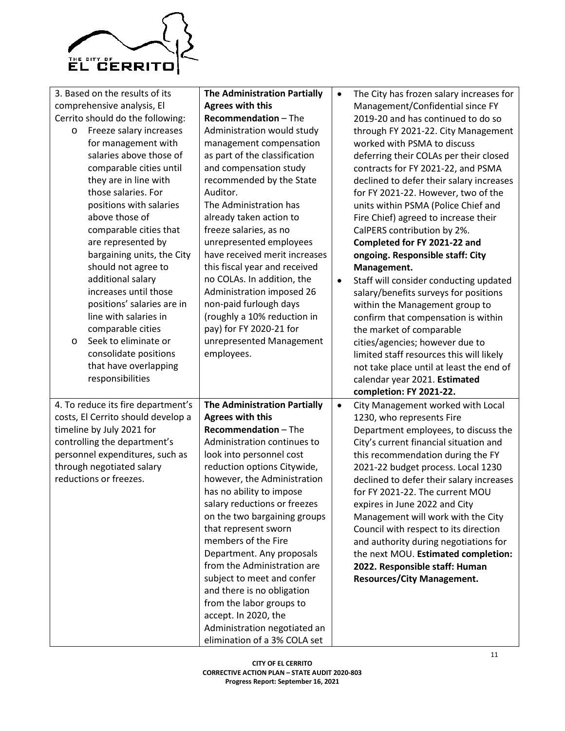

| 3. Based on the results of its<br>comprehensive analysis, El<br>Cerrito should do the following:<br>Freeze salary increases<br>$\circ$<br>for management with<br>salaries above those of<br>comparable cities until<br>they are in line with<br>those salaries. For<br>positions with salaries<br>above those of<br>comparable cities that<br>are represented by<br>bargaining units, the City<br>should not agree to<br>additional salary<br>increases until those<br>positions' salaries are in<br>line with salaries in<br>comparable cities<br>Seek to eliminate or<br>$\circ$<br>consolidate positions<br>that have overlapping<br>responsibilities | <b>The Administration Partially</b><br><b>Agrees with this</b><br><b>Recommendation - The</b><br>Administration would study<br>management compensation<br>as part of the classification<br>and compensation study<br>recommended by the State<br>Auditor.<br>The Administration has<br>already taken action to<br>freeze salaries, as no<br>unrepresented employees<br>have received merit increases<br>this fiscal year and received<br>no COLAs. In addition, the<br>Administration imposed 26<br>non-paid furlough days<br>(roughly a 10% reduction in<br>pay) for FY 2020-21 for<br>unrepresented Management<br>employees. | $\bullet$<br>$\bullet$ | The City has frozen salary increases for<br>Management/Confidential since FY<br>2019-20 and has continued to do so<br>through FY 2021-22. City Management<br>worked with PSMA to discuss<br>deferring their COLAs per their closed<br>contracts for FY 2021-22, and PSMA<br>declined to defer their salary increases<br>for FY 2021-22. However, two of the<br>units within PSMA (Police Chief and<br>Fire Chief) agreed to increase their<br>CalPERS contribution by 2%.<br>Completed for FY 2021-22 and<br>ongoing. Responsible staff: City<br>Management.<br>Staff will consider conducting updated<br>salary/benefits surveys for positions<br>within the Management group to<br>confirm that compensation is within<br>the market of comparable<br>cities/agencies; however due to<br>limited staff resources this will likely<br>not take place until at least the end of<br>calendar year 2021. Estimated<br>completion: FY 2021-22. |
|----------------------------------------------------------------------------------------------------------------------------------------------------------------------------------------------------------------------------------------------------------------------------------------------------------------------------------------------------------------------------------------------------------------------------------------------------------------------------------------------------------------------------------------------------------------------------------------------------------------------------------------------------------|--------------------------------------------------------------------------------------------------------------------------------------------------------------------------------------------------------------------------------------------------------------------------------------------------------------------------------------------------------------------------------------------------------------------------------------------------------------------------------------------------------------------------------------------------------------------------------------------------------------------------------|------------------------|---------------------------------------------------------------------------------------------------------------------------------------------------------------------------------------------------------------------------------------------------------------------------------------------------------------------------------------------------------------------------------------------------------------------------------------------------------------------------------------------------------------------------------------------------------------------------------------------------------------------------------------------------------------------------------------------------------------------------------------------------------------------------------------------------------------------------------------------------------------------------------------------------------------------------------------------|
| 4. To reduce its fire department's<br>costs, El Cerrito should develop a<br>timeline by July 2021 for<br>controlling the department's<br>personnel expenditures, such as<br>through negotiated salary<br>reductions or freezes.                                                                                                                                                                                                                                                                                                                                                                                                                          | <b>The Administration Partially</b><br><b>Agrees with this</b><br><b>Recommendation - The</b><br>Administration continues to<br>look into personnel cost<br>reduction options Citywide,<br>however, the Administration<br>has no ability to impose<br>salary reductions or freezes<br>on the two bargaining groups<br>that represent sworn<br>members of the Fire<br>Department. Any proposals<br>from the Administration are<br>subject to meet and confer<br>and there is no obligation<br>from the labor groups to<br>accept. In 2020, the<br>Administration negotiated an<br>elimination of a 3% COLA set                  | $\bullet$              | City Management worked with Local<br>1230, who represents Fire<br>Department employees, to discuss the<br>City's current financial situation and<br>this recommendation during the FY<br>2021-22 budget process. Local 1230<br>declined to defer their salary increases<br>for FY 2021-22. The current MOU<br>expires in June 2022 and City<br>Management will work with the City<br>Council with respect to its direction<br>and authority during negotiations for<br>the next MOU. Estimated completion:<br>2022. Responsible staff: Human<br><b>Resources/City Management.</b>                                                                                                                                                                                                                                                                                                                                                           |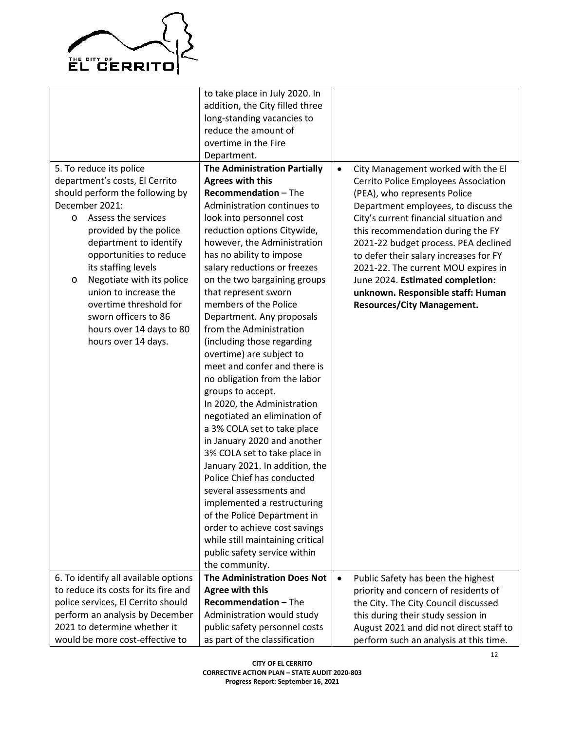

|                                      | to take place in July 2020. In      |           |                                         |
|--------------------------------------|-------------------------------------|-----------|-----------------------------------------|
|                                      | addition, the City filled three     |           |                                         |
|                                      | long-standing vacancies to          |           |                                         |
|                                      | reduce the amount of                |           |                                         |
|                                      | overtime in the Fire                |           |                                         |
|                                      | Department.                         |           |                                         |
| 5. To reduce its police              | <b>The Administration Partially</b> | $\bullet$ | City Management worked with the El      |
| department's costs, El Cerrito       | <b>Agrees with this</b>             |           | Cerrito Police Employees Association    |
| should perform the following by      | <b>Recommendation - The</b>         |           | (PEA), who represents Police            |
| December 2021:                       | Administration continues to         |           | Department employees, to discuss the    |
| Assess the services<br>$\circ$       | look into personnel cost            |           | City's current financial situation and  |
| provided by the police               | reduction options Citywide,         |           | this recommendation during the FY       |
| department to identify               | however, the Administration         |           | 2021-22 budget process. PEA declined    |
| opportunities to reduce              | has no ability to impose            |           | to defer their salary increases for FY  |
| its staffing levels                  | salary reductions or freezes        |           | 2021-22. The current MOU expires in     |
| Negotiate with its police<br>O       | on the two bargaining groups        |           | June 2024. Estimated completion:        |
| union to increase the                | that represent sworn                |           | unknown. Responsible staff: Human       |
| overtime threshold for               | members of the Police               |           | <b>Resources/City Management.</b>       |
| sworn officers to 86                 | Department. Any proposals           |           |                                         |
| hours over 14 days to 80             | from the Administration             |           |                                         |
| hours over 14 days.                  | (including those regarding          |           |                                         |
|                                      | overtime) are subject to            |           |                                         |
|                                      | meet and confer and there is        |           |                                         |
|                                      | no obligation from the labor        |           |                                         |
|                                      | groups to accept.                   |           |                                         |
|                                      | In 2020, the Administration         |           |                                         |
|                                      | negotiated an elimination of        |           |                                         |
|                                      | a 3% COLA set to take place         |           |                                         |
|                                      | in January 2020 and another         |           |                                         |
|                                      | 3% COLA set to take place in        |           |                                         |
|                                      | January 2021. In addition, the      |           |                                         |
|                                      | Police Chief has conducted          |           |                                         |
|                                      | several assessments and             |           |                                         |
|                                      |                                     |           |                                         |
|                                      | implemented a restructuring         |           |                                         |
|                                      | of the Police Department in         |           |                                         |
|                                      | order to achieve cost savings       |           |                                         |
|                                      | while still maintaining critical    |           |                                         |
|                                      | public safety service within        |           |                                         |
|                                      | the community.                      |           |                                         |
| 6. To identify all available options | <b>The Administration Does Not</b>  | $\bullet$ | Public Safety has been the highest      |
| to reduce its costs for its fire and | <b>Agree with this</b>              |           | priority and concern of residents of    |
| police services, El Cerrito should   | <b>Recommendation - The</b>         |           | the City. The City Council discussed    |
| perform an analysis by December      | Administration would study          |           | this during their study session in      |
| 2021 to determine whether it         | public safety personnel costs       |           | August 2021 and did not direct staff to |
| would be more cost-effective to      | as part of the classification       |           | perform such an analysis at this time.  |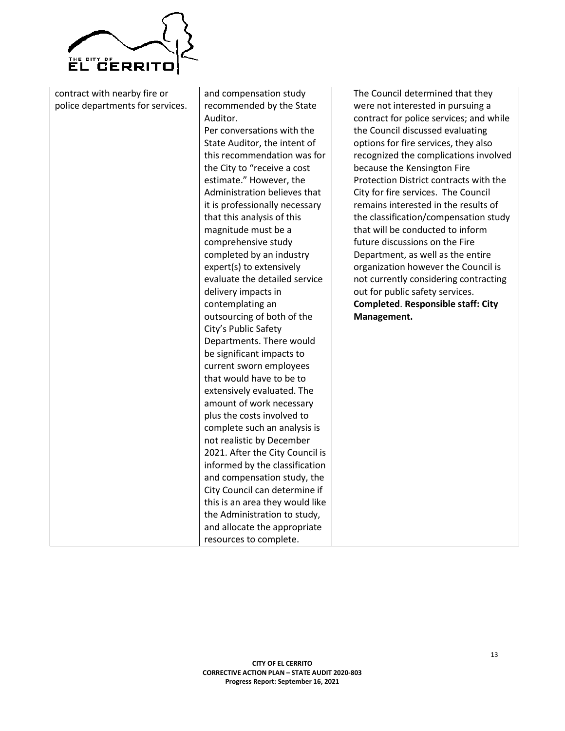

| contract with nearby fire or     | and compensation study          | The Council determined that they          |
|----------------------------------|---------------------------------|-------------------------------------------|
| police departments for services. | recommended by the State        | were not interested in pursuing a         |
|                                  | Auditor.                        | contract for police services; and while   |
|                                  | Per conversations with the      | the Council discussed evaluating          |
|                                  | State Auditor, the intent of    | options for fire services, they also      |
|                                  | this recommendation was for     | recognized the complications involved     |
|                                  | the City to "receive a cost     | because the Kensington Fire               |
|                                  | estimate." However, the         | Protection District contracts with the    |
|                                  | Administration believes that    | City for fire services. The Council       |
|                                  | it is professionally necessary  | remains interested in the results of      |
|                                  | that this analysis of this      | the classification/compensation study     |
|                                  | magnitude must be a             | that will be conducted to inform          |
|                                  | comprehensive study             | future discussions on the Fire            |
|                                  | completed by an industry        | Department, as well as the entire         |
|                                  | expert(s) to extensively        | organization however the Council is       |
|                                  | evaluate the detailed service   | not currently considering contracting     |
|                                  | delivery impacts in             | out for public safety services.           |
|                                  | contemplating an                | <b>Completed. Responsible staff: City</b> |
|                                  | outsourcing of both of the      | Management.                               |
|                                  | City's Public Safety            |                                           |
|                                  | Departments. There would        |                                           |
|                                  | be significant impacts to       |                                           |
|                                  | current sworn employees         |                                           |
|                                  | that would have to be to        |                                           |
|                                  | extensively evaluated. The      |                                           |
|                                  | amount of work necessary        |                                           |
|                                  | plus the costs involved to      |                                           |
|                                  | complete such an analysis is    |                                           |
|                                  | not realistic by December       |                                           |
|                                  | 2021. After the City Council is |                                           |
|                                  | informed by the classification  |                                           |
|                                  | and compensation study, the     |                                           |
|                                  | City Council can determine if   |                                           |
|                                  | this is an area they would like |                                           |
|                                  | the Administration to study,    |                                           |
|                                  | and allocate the appropriate    |                                           |
|                                  | resources to complete.          |                                           |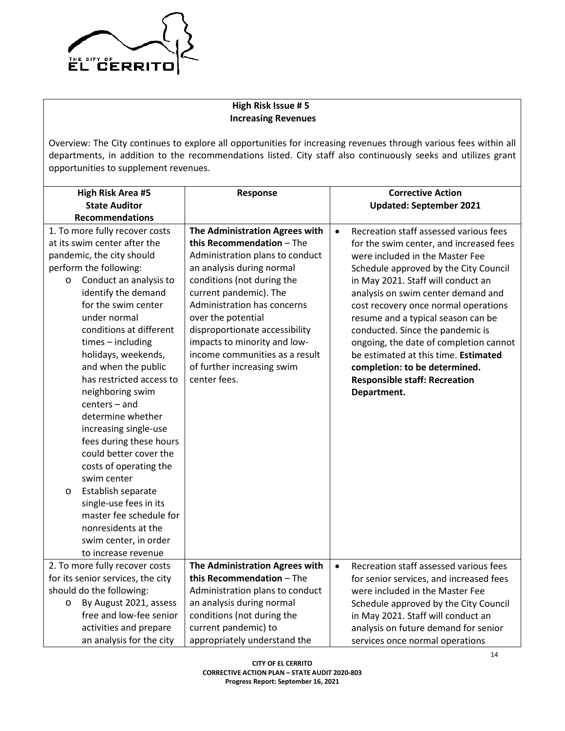

# **High Risk Issue # 5 Increasing Revenues**

Overview: The City continues to explore all opportunities for increasing revenues through various fees within all departments, in addition to the recommendations listed. City staff also continuously seeks and utilizes grant opportunities to supplement revenues.

| <b>High Risk Area #5</b>          | Response                        | <b>Corrective Action</b>                            |
|-----------------------------------|---------------------------------|-----------------------------------------------------|
| <b>State Auditor</b>              |                                 | <b>Updated: September 2021</b>                      |
| <b>Recommendations</b>            |                                 |                                                     |
| 1. To more fully recover costs    | The Administration Agrees with  | Recreation staff assessed various fees<br>$\bullet$ |
| at its swim center after the      | this Recommendation - The       | for the swim center, and increased fees             |
| pandemic, the city should         | Administration plans to conduct | were included in the Master Fee                     |
| perform the following:            | an analysis during normal       | Schedule approved by the City Council               |
| Conduct an analysis to<br>$\circ$ | conditions (not during the      | in May 2021. Staff will conduct an                  |
| identify the demand               | current pandemic). The          | analysis on swim center demand and                  |
| for the swim center               | Administration has concerns     | cost recovery once normal operations                |
| under normal                      | over the potential              | resume and a typical season can be                  |
| conditions at different           | disproportionate accessibility  | conducted. Since the pandemic is                    |
| $times - including$               | impacts to minority and low-    | ongoing, the date of completion cannot              |
| holidays, weekends,               | income communities as a result  | be estimated at this time. Estimated                |
| and when the public               | of further increasing swim      | completion: to be determined.                       |
| has restricted access to          | center fees.                    | <b>Responsible staff: Recreation</b>                |
| neighboring swim                  |                                 | Department.                                         |
| centers - and                     |                                 |                                                     |
| determine whether                 |                                 |                                                     |
| increasing single-use             |                                 |                                                     |
| fees during these hours           |                                 |                                                     |
| could better cover the            |                                 |                                                     |
| costs of operating the            |                                 |                                                     |
| swim center                       |                                 |                                                     |
| Establish separate<br>$\circ$     |                                 |                                                     |
| single-use fees in its            |                                 |                                                     |
| master fee schedule for           |                                 |                                                     |
| nonresidents at the               |                                 |                                                     |
| swim center, in order             |                                 |                                                     |
| to increase revenue               |                                 |                                                     |
| 2. To more fully recover costs    | The Administration Agrees with  | Recreation staff assessed various fees<br>$\bullet$ |
| for its senior services, the city | this Recommendation - The       | for senior services, and increased fees             |
| should do the following:          | Administration plans to conduct | were included in the Master Fee                     |
| By August 2021, assess<br>$\circ$ | an analysis during normal       | Schedule approved by the City Council               |
| free and low-fee senior           | conditions (not during the      | in May 2021. Staff will conduct an                  |
| activities and prepare            | current pandemic) to            | analysis on future demand for senior                |
| an analysis for the city          | appropriately understand the    | services once normal operations                     |